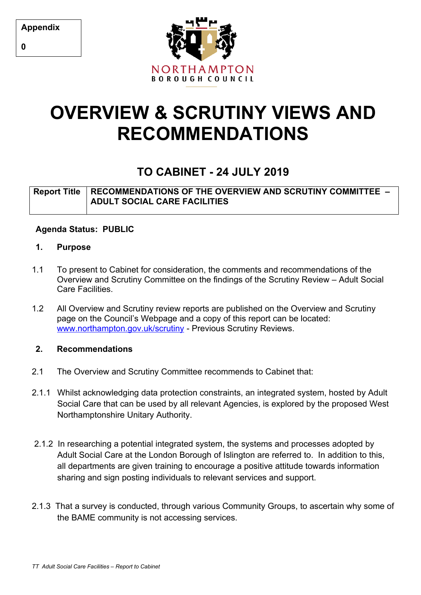**Appendix**



# **OVERVIEW & SCRUTINY VIEWS AND RECOMMENDATIONS**

# **TO CABINET - 24 JULY 2019**

# **Report Title RECOMMENDATIONS OF THE OVERVIEW AND SCRUTINY COMMITTEE – ADULT SOCIAL CARE FACILITIES**

## **Agenda Status: PUBLIC**

## **1. Purpose**

- 1.1 To present to Cabinet for consideration, the comments and recommendations of the Overview and Scrutiny Committee on the findings of the Scrutiny Review – Adult Social Care Facilities.
- 1.2 All Overview and Scrutiny review reports are published on the Overview and Scrutiny page on the Council's Webpage and a copy of this report can be located: [www.northampton.gov.uk/scrutiny](http://www.northampton.gov.uk/scrutiny) - Previous Scrutiny Reviews.

## **2. Recommendations**

- 2.1 The Overview and Scrutiny Committee recommends to Cabinet that:
- 2.1.1 Whilst acknowledging data protection constraints, an integrated system, hosted by Adult Social Care that can be used by all relevant Agencies, is explored by the proposed West Northamptonshire Unitary Authority.
- 2.1.2 In researching a potential integrated system, the systems and processes adopted by Adult Social Care at the London Borough of Islington are referred to. In addition to this, all departments are given training to encourage a positive attitude towards information sharing and sign posting individuals to relevant services and support.
- 2.1.3 That a survey is conducted, through various Community Groups, to ascertain why some of the BAME community is not accessing services.

**0**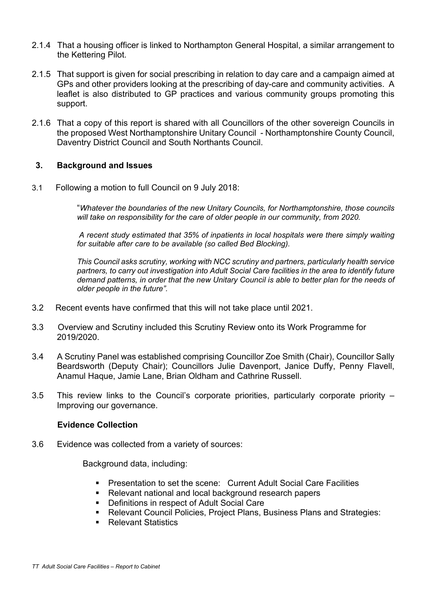- 2.1.4 That a housing officer is linked to Northampton General Hospital, a similar arrangement to the Kettering Pilot.
- 2.1.5 That support is given for social prescribing in relation to day care and a campaign aimed at GPs and other providers looking at the prescribing of day-care and community activities. A leaflet is also distributed to GP practices and various community groups promoting this support.
- 2.1.6 That a copy of this report is shared with all Councillors of the other sovereign Councils in the proposed West Northamptonshire Unitary Council - Northamptonshire County Council, Daventry District Council and South Northants Council.

#### **3. Background and Issues**

3.1 Following a motion to full Council on 9 July 2018:

"*Whatever the boundaries of the new Unitary Councils, for Northamptonshire, those councils will take on responsibility for the care of older people in our community, from 2020.*

*A recent study estimated that 35% of inpatients in local hospitals were there simply waiting for suitable after care to be available (so called Bed Blocking).*

*This Council asks scrutiny, working with NCC scrutiny and partners, particularly health service partners, to carry out investigation into Adult Social Care facilities in the area to identify future demand patterns, in order that the new Unitary Council is able to better plan for the needs of older people in the future".*

- 3.2Recent events have confirmed that this will not take place until 2021.
- 3.3 Overview and Scrutiny included this Scrutiny Review onto its Work Programme for 2019/2020.
- 3.4 A Scrutiny Panel was established comprising Councillor Zoe Smith (Chair), Councillor Sally Beardsworth (Deputy Chair); Councillors Julie Davenport, Janice Duffy, Penny Flavell, Anamul Haque, Jamie Lane, Brian Oldham and Cathrine Russell.
- 3.5 This review links to the Council's corporate priorities, particularly corporate priority Improving our governance.

#### **Evidence Collection**

3.6 Evidence was collected from a variety of sources:

Background data, including:

- **Presentation to set the scene: Current Adult Social Care Facilities**
- Relevant national and local background research papers
- **Definitions in respect of Adult Social Care**
- Relevant Council Policies, Project Plans, Business Plans and Strategies:
- Relevant Statistics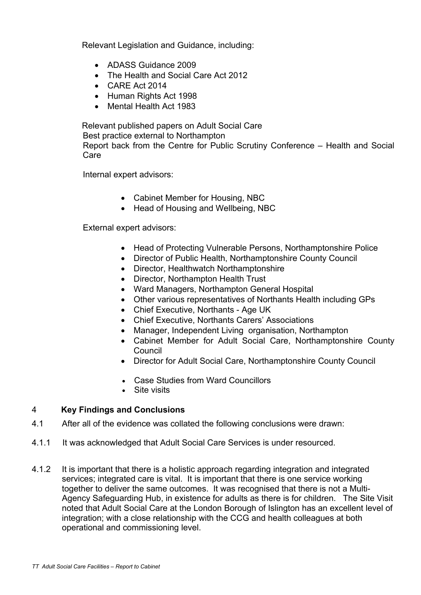Relevant Legislation and Guidance, including:

- ADASS Guidance 2009
- The Health and Social Care Act 2012
- CARE Act 2014
- Human Rights Act 1998
- Mental Health Act 1983

Relevant published papers on Adult Social Care

Best practice external to Northampton

Report back from the Centre for Public Scrutiny Conference – Health and Social Care

Internal expert advisors:

- Cabinet Member for Housing, NBC
- Head of Housing and Wellbeing, NBC

External expert advisors:

- Head of Protecting Vulnerable Persons, Northamptonshire Police
- Director of Public Health, Northamptonshire County Council
- Director, Healthwatch Northamptonshire
- Director, Northampton Health Trust
- Ward Managers, Northampton General Hospital
- Other various representatives of Northants Health including GPs
- Chief Executive, Northants Age UK
- Chief Executive, Northants Carers' Associations
- Manager, Independent Living organisation, Northampton
- Cabinet Member for Adult Social Care, Northamptonshire County Council
- Director for Adult Social Care, Northamptonshire County Council
- Case Studies from Ward Councillors
- Site visits

#### 4 **Key Findings and Conclusions**

- 4.1 After all of the evidence was collated the following conclusions were drawn:
- 4.1.1 It was acknowledged that Adult Social Care Services is under resourced.
- 4.1.2 It is important that there is a holistic approach regarding integration and integrated services; integrated care is vital. It is important that there is one service working together to deliver the same outcomes. It was recognised that there is not a Multi-Agency Safeguarding Hub, in existence for adults as there is for children. The Site Visit noted that Adult Social Care at the London Borough of Islington has an excellent level of integration; with a close relationship with the CCG and health colleagues at both operational and commissioning level.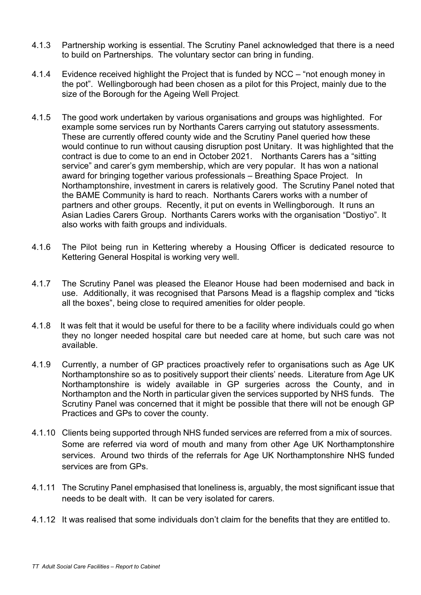- 4.1.3 Partnership working is essential. The Scrutiny Panel acknowledged that there is a need to build on Partnerships. The voluntary sector can bring in funding.
- 4.1.4 Evidence received highlight the Project that is funded by NCC "not enough money in the pot". Wellingborough had been chosen as a pilot for this Project, mainly due to the size of the Borough for the Ageing Well Project.
- 4.1.5 The good work undertaken by various organisations and groups was highlighted. For example some services run by Northants Carers carrying out statutory assessments. These are currently offered county wide and the Scrutiny Panel queried how these would continue to run without causing disruption post Unitary. It was highlighted that the contract is due to come to an end in October 2021. Northants Carers has a "sitting service" and carer's gym membership, which are very popular. It has won a national award for bringing together various professionals – Breathing Space Project. In Northamptonshire, investment in carers is relatively good. The Scrutiny Panel noted that the BAME Community is hard to reach. Northants Carers works with a number of partners and other groups. Recently, it put on events in Wellingborough. It runs an Asian Ladies Carers Group. Northants Carers works with the organisation "Dostiyo". It also works with faith groups and individuals.
- 4.1.6 The Pilot being run in Kettering whereby a Housing Officer is dedicated resource to Kettering General Hospital is working very well.
- 4.1.7 The Scrutiny Panel was pleased the Eleanor House had been modernised and back in use. Additionally, it was recognised that Parsons Mead is a flagship complex and "ticks all the boxes", being close to required amenities for older people.
- 4.1.8 It was felt that it would be useful for there to be a facility where individuals could go when they no longer needed hospital care but needed care at home, but such care was not available.
- 4.1.9 Currently, a number of GP practices proactively refer to organisations such as Age UK Northamptonshire so as to positively support their clients' needs. Literature from Age UK Northamptonshire is widely available in GP surgeries across the County, and in Northampton and the North in particular given the services supported by NHS funds. The Scrutiny Panel was concerned that it might be possible that there will not be enough GP Practices and GPs to cover the county.
- 4.1.10 Clients being supported through NHS funded services are referred from a mix of sources. Some are referred via word of mouth and many from other Age UK Northamptonshire services. Around two thirds of the referrals for Age UK Northamptonshire NHS funded services are from GPs.
- 4.1.11 The Scrutiny Panel emphasised that loneliness is, arguably, the most significant issue that needs to be dealt with. It can be very isolated for carers.
- 4.1.12 It was realised that some individuals don't claim for the benefits that they are entitled to.